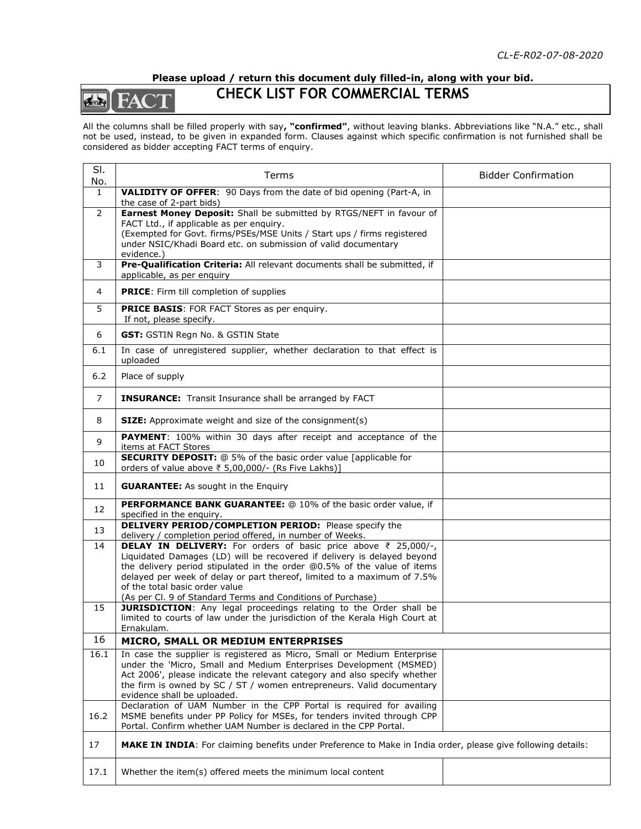## **Please upload / return this document duly filled-in, along with your bid.**



## **CHECK LIST FOR COMMERCIAL TERMS**

All the columns shall be filled properly with say**, "confirmed"**, without leaving blanks. Abbreviations like "N.A." etc., shall not be used, instead, to be given in expanded form. Clauses against which specific confirmation is not furnished shall be considered as bidder accepting FACT terms of enquiry.

| SI.<br>No.     | Terms                                                                                                                                                                                                                                                                                                                                                                                                                                                                                           | <b>Bidder Confirmation</b> |  |  |
|----------------|-------------------------------------------------------------------------------------------------------------------------------------------------------------------------------------------------------------------------------------------------------------------------------------------------------------------------------------------------------------------------------------------------------------------------------------------------------------------------------------------------|----------------------------|--|--|
| $\mathbf{1}$   | VALIDITY OF OFFER: 90 Days from the date of bid opening (Part-A, in                                                                                                                                                                                                                                                                                                                                                                                                                             |                            |  |  |
| $\overline{2}$ | the case of 2-part bids)<br>Earnest Money Deposit: Shall be submitted by RTGS/NEFT in favour of<br>FACT Ltd., if applicable as per enquiry.<br>(Exempted for Govt. firms/PSEs/MSE Units / Start ups / firms registered<br>under NSIC/Khadi Board etc. on submission of valid documentary<br>evidence.)                                                                                                                                                                                          |                            |  |  |
| 3              | Pre-Qualification Criteria: All relevant documents shall be submitted, if<br>applicable, as per enquiry                                                                                                                                                                                                                                                                                                                                                                                         |                            |  |  |
| 4              | <b>PRICE:</b> Firm till completion of supplies                                                                                                                                                                                                                                                                                                                                                                                                                                                  |                            |  |  |
| 5              | <b>PRICE BASIS:</b> FOR FACT Stores as per enquiry.<br>If not, please specify.                                                                                                                                                                                                                                                                                                                                                                                                                  |                            |  |  |
| 6              | GST: GSTIN Regn No. & GSTIN State                                                                                                                                                                                                                                                                                                                                                                                                                                                               |                            |  |  |
| 6.1            | In case of unregistered supplier, whether declaration to that effect is<br>uploaded                                                                                                                                                                                                                                                                                                                                                                                                             |                            |  |  |
| 6.2            | Place of supply                                                                                                                                                                                                                                                                                                                                                                                                                                                                                 |                            |  |  |
| $\overline{7}$ | <b>INSURANCE:</b> Transit Insurance shall be arranged by FACT                                                                                                                                                                                                                                                                                                                                                                                                                                   |                            |  |  |
| 8              | <b>SIZE:</b> Approximate weight and size of the consignment(s)                                                                                                                                                                                                                                                                                                                                                                                                                                  |                            |  |  |
| 9              | PAYMENT: 100% within 30 days after receipt and acceptance of the<br>items at FACT Stores                                                                                                                                                                                                                                                                                                                                                                                                        |                            |  |  |
| 10             | <b>SECURITY DEPOSIT:</b> @ 5% of the basic order value [applicable for<br>orders of value above ₹ 5,00,000/- (Rs Five Lakhs)]                                                                                                                                                                                                                                                                                                                                                                   |                            |  |  |
| 11             | <b>GUARANTEE:</b> As sought in the Enquiry                                                                                                                                                                                                                                                                                                                                                                                                                                                      |                            |  |  |
| 12             | PERFORMANCE BANK GUARANTEE: @ 10% of the basic order value, if<br>specified in the enquiry.                                                                                                                                                                                                                                                                                                                                                                                                     |                            |  |  |
| 13             | <b>DELIVERY PERIOD/COMPLETION PERIOD:</b> Please specify the<br>delivery / completion period offered, in number of Weeks.                                                                                                                                                                                                                                                                                                                                                                       |                            |  |  |
| 14<br>15       | <b>DELAY IN DELIVERY:</b> For orders of basic price above $\bar{\tau}$ 25,000/-,<br>Liquidated Damages (LD) will be recovered if delivery is delayed beyond<br>the delivery period stipulated in the order @0.5% of the value of items<br>delayed per week of delay or part thereof, limited to a maximum of 7.5%<br>of the total basic order value<br>(As per Cl. 9 of Standard Terms and Conditions of Purchase)<br><b>JURISDICTION:</b> Any legal proceedings relating to the Order shall be |                            |  |  |
|                | limited to courts of law under the jurisdiction of the Kerala High Court at<br>Ernakulam.                                                                                                                                                                                                                                                                                                                                                                                                       |                            |  |  |
| 16             | MICRO, SMALL OR MEDIUM ENTERPRISES                                                                                                                                                                                                                                                                                                                                                                                                                                                              |                            |  |  |
| 16.1           | In case the supplier is registered as Micro, Small or Medium Enterprise<br>under the 'Micro, Small and Medium Enterprises Development (MSMED)<br>Act 2006', please indicate the relevant category and also specify whether<br>the firm is owned by SC / ST / women entrepreneurs. Valid documentary<br>evidence shall be uploaded.                                                                                                                                                              |                            |  |  |
| 16.2           | Declaration of UAM Number in the CPP Portal is required for availing<br>MSME benefits under PP Policy for MSEs, for tenders invited through CPP<br>Portal. Confirm whether UAM Number is declared in the CPP Portal.                                                                                                                                                                                                                                                                            |                            |  |  |
| 17             | MAKE IN INDIA: For claiming benefits under Preference to Make in India order, please give following details:                                                                                                                                                                                                                                                                                                                                                                                    |                            |  |  |
| 17.1           | Whether the item(s) offered meets the minimum local content                                                                                                                                                                                                                                                                                                                                                                                                                                     |                            |  |  |